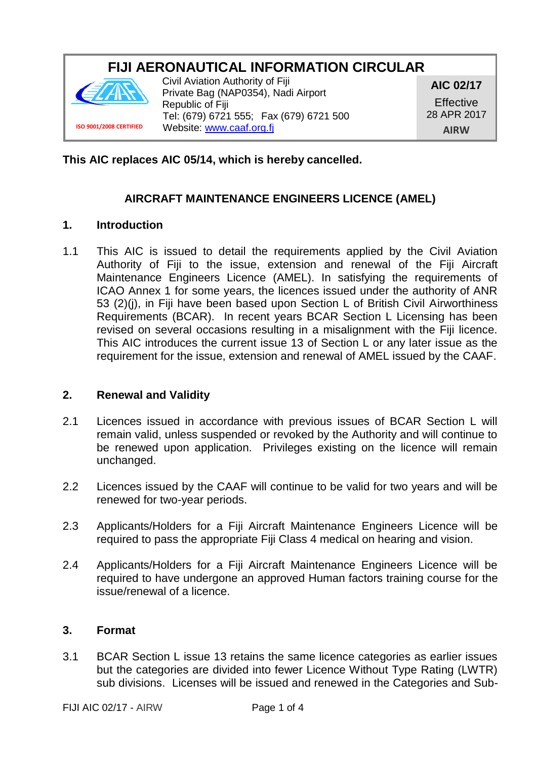# **FIJI AERONAUTICAL INFORMATION CIRCULAR**



Civil Aviation Authority of Fiji Private Bag (NAP0354), Nadi Airport Republic of Fiji Tel: (679) 6721 555; Fax (679) 6721 500 Website: [www.caaf.org.fj](http://www.caaf.org.fj/)

**AIC 02/17 Effective** 28 APR 2017 **AIRW**

**This AIC replaces AIC 05/14, which is hereby cancelled.**

## **AIRCRAFT MAINTENANCE ENGINEERS LICENCE (AMEL)**

#### **1. Introduction**

1.1 This AIC is issued to detail the requirements applied by the Civil Aviation Authority of Fiji to the issue, extension and renewal of the Fiji Aircraft Maintenance Engineers Licence (AMEL). In satisfying the requirements of ICAO Annex 1 for some years, the licences issued under the authority of ANR 53 (2)(j), in Fiji have been based upon Section L of British Civil Airworthiness Requirements (BCAR). In recent years BCAR Section L Licensing has been revised on several occasions resulting in a misalignment with the Fiji licence. This AIC introduces the current issue 13 of Section L or any later issue as the requirement for the issue, extension and renewal of AMEL issued by the CAAF.

### **2. Renewal and Validity**

- 2.1 Licences issued in accordance with previous issues of BCAR Section L will remain valid, unless suspended or revoked by the Authority and will continue to be renewed upon application. Privileges existing on the licence will remain unchanged.
- 2.2 Licences issued by the CAAF will continue to be valid for two years and will be renewed for two-year periods.
- 2.3 Applicants/Holders for a Fiji Aircraft Maintenance Engineers Licence will be required to pass the appropriate Fiji Class 4 medical on hearing and vision.
- 2.4 Applicants/Holders for a Fiji Aircraft Maintenance Engineers Licence will be required to have undergone an approved Human factors training course for the issue/renewal of a licence.

### **3. Format**

3.1 BCAR Section L issue 13 retains the same licence categories as earlier issues but the categories are divided into fewer Licence Without Type Rating (LWTR) sub divisions. Licenses will be issued and renewed in the Categories and Sub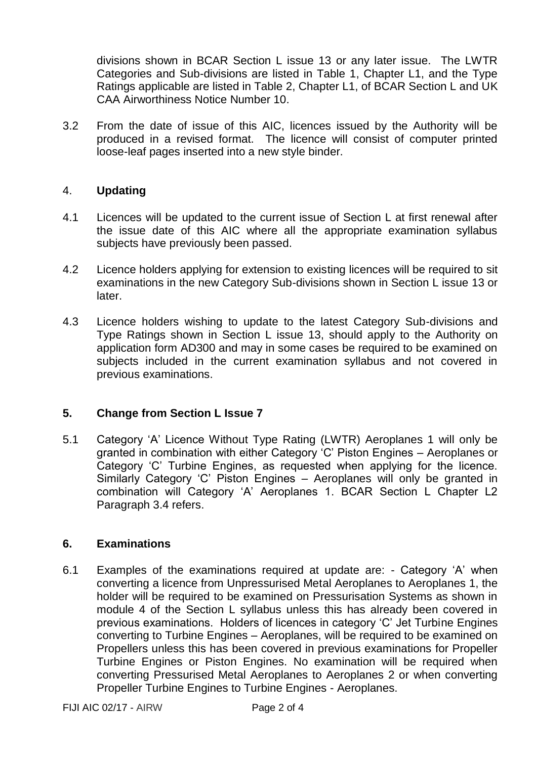divisions shown in BCAR Section L issue 13 or any later issue. The LWTR Categories and Sub-divisions are listed in Table 1, Chapter L1, and the Type Ratings applicable are listed in Table 2, Chapter L1, of BCAR Section L and UK CAA Airworthiness Notice Number 10.

3.2 From the date of issue of this AIC, licences issued by the Authority will be produced in a revised format. The licence will consist of computer printed loose-leaf pages inserted into a new style binder.

### 4. **Updating**

- 4.1 Licences will be updated to the current issue of Section L at first renewal after the issue date of this AIC where all the appropriate examination syllabus subjects have previously been passed.
- 4.2 Licence holders applying for extension to existing licences will be required to sit examinations in the new Category Sub-divisions shown in Section L issue 13 or later.
- 4.3 Licence holders wishing to update to the latest Category Sub-divisions and Type Ratings shown in Section L issue 13, should apply to the Authority on application form AD300 and may in some cases be required to be examined on subjects included in the current examination syllabus and not covered in previous examinations.

### **5. Change from Section L Issue 7**

5.1 Category 'A' Licence Without Type Rating (LWTR) Aeroplanes 1 will only be granted in combination with either Category 'C' Piston Engines – Aeroplanes or Category 'C' Turbine Engines, as requested when applying for the licence. Similarly Category 'C' Piston Engines – Aeroplanes will only be granted in combination will Category 'A' Aeroplanes 1. BCAR Section L Chapter L2 Paragraph 3.4 refers.

### **6. Examinations**

6.1 Examples of the examinations required at update are: - Category 'A' when converting a licence from Unpressurised Metal Aeroplanes to Aeroplanes 1, the holder will be required to be examined on Pressurisation Systems as shown in module 4 of the Section L syllabus unless this has already been covered in previous examinations. Holders of licences in category 'C' Jet Turbine Engines converting to Turbine Engines – Aeroplanes, will be required to be examined on Propellers unless this has been covered in previous examinations for Propeller Turbine Engines or Piston Engines. No examination will be required when converting Pressurised Metal Aeroplanes to Aeroplanes 2 or when converting Propeller Turbine Engines to Turbine Engines - Aeroplanes.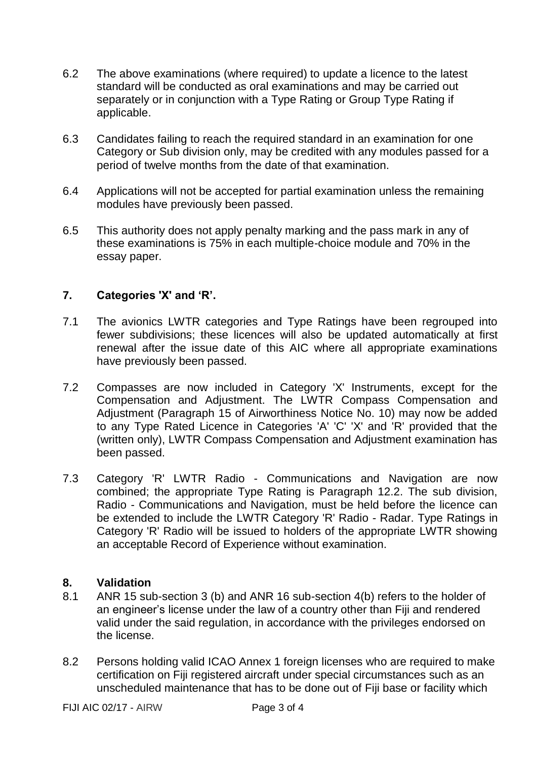- 6.2 The above examinations (where required) to update a licence to the latest standard will be conducted as oral examinations and may be carried out separately or in conjunction with a Type Rating or Group Type Rating if applicable.
- 6.3 Candidates failing to reach the required standard in an examination for one Category or Sub division only, may be credited with any modules passed for a period of twelve months from the date of that examination.
- 6.4 Applications will not be accepted for partial examination unless the remaining modules have previously been passed.
- 6.5 This authority does not apply penalty marking and the pass mark in any of these examinations is 75% in each multiple-choice module and 70% in the essay paper.

### **7. Categories 'X' and 'R'.**

- 7.1 The avionics LWTR categories and Type Ratings have been regrouped into fewer subdivisions; these licences will also be updated automatically at first renewal after the issue date of this AIC where all appropriate examinations have previously been passed.
- 7.2 Compasses are now included in Category 'X' Instruments, except for the Compensation and Adjustment. The LWTR Compass Compensation and Adjustment (Paragraph 15 of Airworthiness Notice No. 10) may now be added to any Type Rated Licence in Categories 'A' 'C' 'X' and 'R' provided that the (written only), LWTR Compass Compensation and Adjustment examination has been passed.
- 7.3 Category 'R' LWTR Radio Communications and Navigation are now combined; the appropriate Type Rating is Paragraph 12.2. The sub division, Radio - Communications and Navigation, must be held before the licence can be extended to include the LWTR Category 'R' Radio - Radar. Type Ratings in Category 'R' Radio will be issued to holders of the appropriate LWTR showing an acceptable Record of Experience without examination.

### **8. Validation**

- 8.1 ANR 15 sub-section 3 (b) and ANR 16 sub-section 4(b) refers to the holder of an engineer's license under the law of a country other than Fiji and rendered valid under the said regulation, in accordance with the privileges endorsed on the license.
- 8.2 Persons holding valid ICAO Annex 1 foreign licenses who are required to make certification on Fiji registered aircraft under special circumstances such as an unscheduled maintenance that has to be done out of Fiji base or facility which